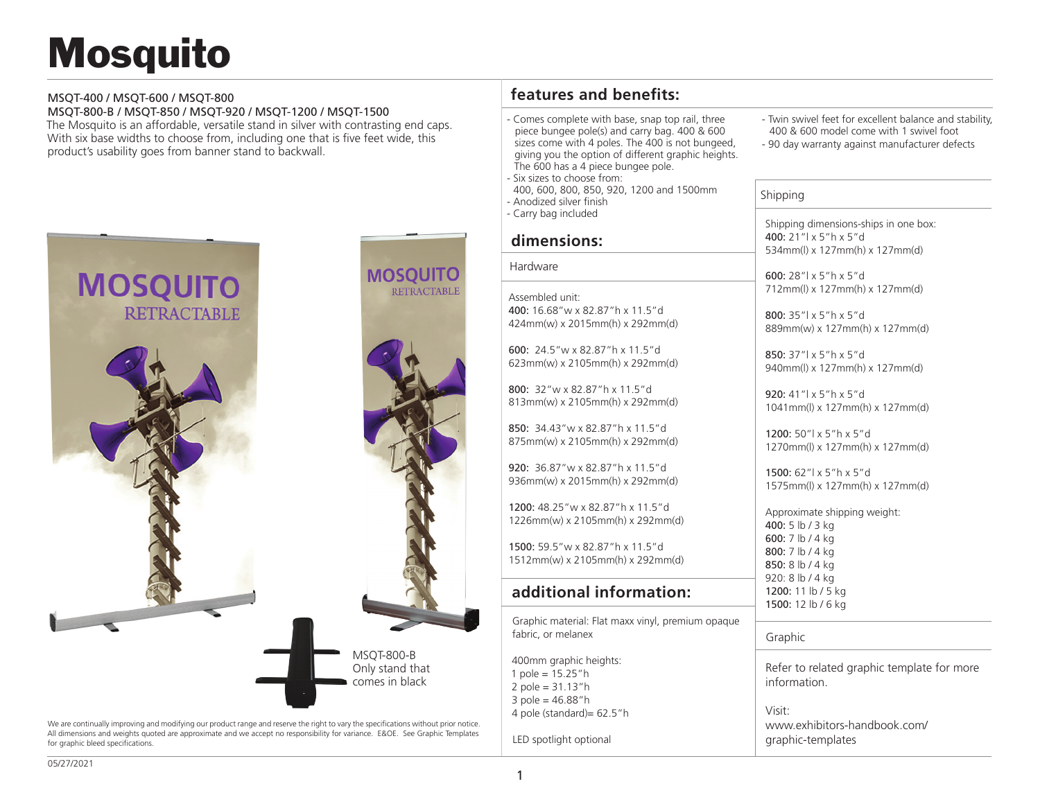# **Mosquito**

#### MSQT-400 / MSQT-600 / MSQT-800

MSQT-800-B / MSQT-850 / MSQT-920 / MSQT-1200 / MSQT-1500 The Mosquito is an affordable, versatile stand in silver with contrasting end caps. With six base widths to choose from, including one that is five feet wide, this product's usability goes from banner stand to backwall.



We are continually improving and modifying our product range and reserve the right to vary the specifications without prior notice. All dimensions and weights quoted are approximate and we accept no responsibility for variance. E&OE. See Graphic Templates for graphic bleed specifications.

## **features and benefits:**

Comes complete with base, snap top rail, three piece bungee pole(s) and carry bag. 400 & 600 sizes come with 4 poles. The 400 is not bungeed, giving you the option of different graphic heights. The 600 has a 4 piece bungee pole.

Six sizes to choose from:

 400, 600, 800, 850, 920, 1200 and 1500mm - Anodized silver finish

- Carry bag included

#### **dimensions:**

#### Hardware

Assembled unit: 400: 16.68"w x 82.87"h x 11.5"d 424mm(w) x 2015mm(h) x 292mm(d)

600: 24.5"w x 82.87"h x 11.5"d 623mm(w) x 2105mm(h) x 292mm(d)

800: 32"w x 82.87"h x 11.5"d 813mm(w) x 2105mm(h) x 292mm(d)

850: 34.43"w x 82.87"h x 11.5"d 875mm(w) x 2105mm(h) x 292mm(d)

920: 36.87"w x 82.87"h x 11.5"d 936mm(w) x 2015mm(h) x 292mm(d)

1200: 48.25"w x 82.87"h x 11.5"d 1226mm(w) x 2105mm(h) x 292mm(d)

1500: 59.5"w x 82.87"h x 11.5"d 1512mm(w) x 2105mm(h) x 292mm(d)

### **additional information:**

Graphic material: Flat maxx vinyl, premium opaque fabric, or melanex

400mm graphic heights: 1 pole = 15.25"h 2 pole =  $31.13"$ h 3 pole = 46.88"h 4 pole (standard)= 62.5"h

LED spotlight optional

- Twin swivel feet for excellent balance and stability, 400 & 600 model come with 1 swivel foot
- 90 day warranty against manufacturer defects

Shipping

Shipping dimensions-ships in one box: 400: 21"l x 5"h x 5"d 534mm(l) x 127mm(h) x 127mm(d)

600: 28"l x 5"h x 5"d 712mm(l) x 127mm(h) x 127mm(d)

800: 35"l x 5"h x 5"d 889mm(w) x 127mm(h) x 127mm(d)

850: 37"l x 5"h x 5"d 940mm(l) x 127mm(h) x 127mm(d)

920: 41"l x 5"h x 5"d 1041mm(l) x 127mm(h) x 127mm(d)

1200: 50"l x 5"h x 5"d 1270mm(l) x 127mm(h) x 127mm(d)

1500: 62"l x 5"h x 5"d 1575mm(l) x 127mm(h) x 127mm(d)

Approximate shipping weight: 400: 5 lb / 3 kg 600: 7 lb / 4 kg 800: 7 lb / 4 kg 850: 8 lb / 4 kg 920: 8 lb / 4 kg 1200: 11 lb / 5 kg 1500: 12 lb / 6 kg

Graphic

Refer to related graphic template for more information.

Visit: www.exhibitors-handbook.com/ graphic-templates